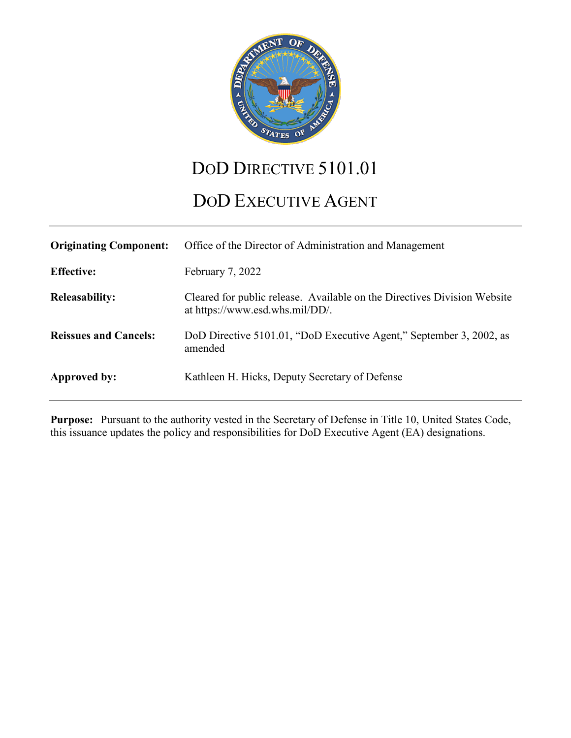

# DOD DIRECTIVE 5101.01

# DOD EXECUTIVE AGENT

| <b>Originating Component:</b> | Office of the Director of Administration and Management                                                     |
|-------------------------------|-------------------------------------------------------------------------------------------------------------|
| <b>Effective:</b>             | February 7, 2022                                                                                            |
| <b>Releasability:</b>         | Cleared for public release. Available on the Directives Division Website<br>at https://www.esd.whs.mil/DD/. |
| <b>Reissues and Cancels:</b>  | DoD Directive 5101.01, "DoD Executive Agent," September 3, 2002, as<br>amended                              |
| Approved by:                  | Kathleen H. Hicks, Deputy Secretary of Defense                                                              |

**Purpose:** Pursuant to the authority vested in the Secretary of Defense in Title 10, United States Code, this issuance updates the policy and responsibilities for DoD Executive Agent (EA) designations.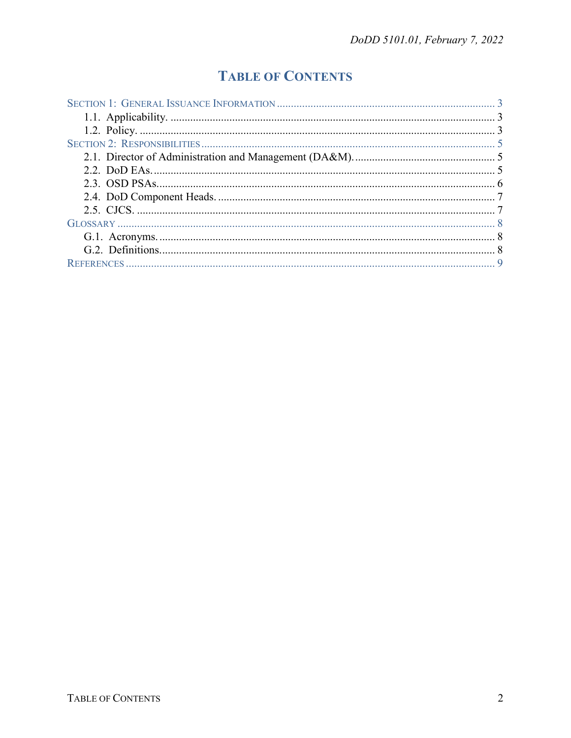## **TABLE OF CONTENTS**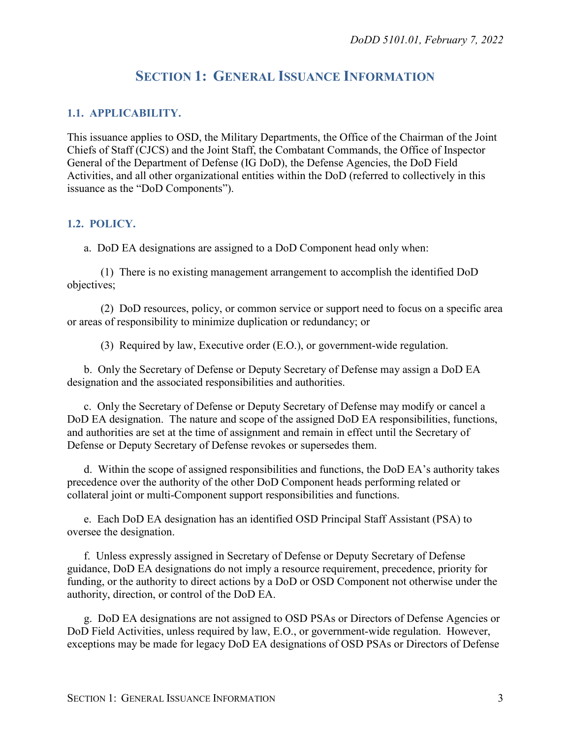## **SECTION 1: GENERAL ISSUANCE INFORMATION**

#### <span id="page-2-1"></span><span id="page-2-0"></span>**1.1. APPLICABILITY.**

This issuance applies to OSD, the Military Departments, the Office of the Chairman of the Joint Chiefs of Staff (CJCS) and the Joint Staff, the Combatant Commands, the Office of Inspector General of the Department of Defense (IG DoD), the Defense Agencies, the DoD Field Activities, and all other organizational entities within the DoD (referred to collectively in this issuance as the "DoD Components").

#### <span id="page-2-2"></span>**1.2. POLICY.**

a. DoD EA designations are assigned to a DoD Component head only when:

(1) There is no existing management arrangement to accomplish the identified DoD objectives;

(2) DoD resources, policy, or common service or support need to focus on a specific area or areas of responsibility to minimize duplication or redundancy; or

(3) Required by law, Executive order (E.O.), or government-wide regulation.

b. Only the Secretary of Defense or Deputy Secretary of Defense may assign a DoD EA designation and the associated responsibilities and authorities.

c. Only the Secretary of Defense or Deputy Secretary of Defense may modify or cancel a DoD EA designation. The nature and scope of the assigned DoD EA responsibilities, functions, and authorities are set at the time of assignment and remain in effect until the Secretary of Defense or Deputy Secretary of Defense revokes or supersedes them.

d. Within the scope of assigned responsibilities and functions, the DoD EA's authority takes precedence over the authority of the other DoD Component heads performing related or collateral joint or multi-Component support responsibilities and functions.

e. Each DoD EA designation has an identified OSD Principal Staff Assistant (PSA) to oversee the designation.

f. Unless expressly assigned in Secretary of Defense or Deputy Secretary of Defense guidance, DoD EA designations do not imply a resource requirement, precedence, priority for funding, or the authority to direct actions by a DoD or OSD Component not otherwise under the authority, direction, or control of the DoD EA.

g. DoD EA designations are not assigned to OSD PSAs or Directors of Defense Agencies or DoD Field Activities, unless required by law, E.O., or government-wide regulation. However, exceptions may be made for legacy DoD EA designations of OSD PSAs or Directors of Defense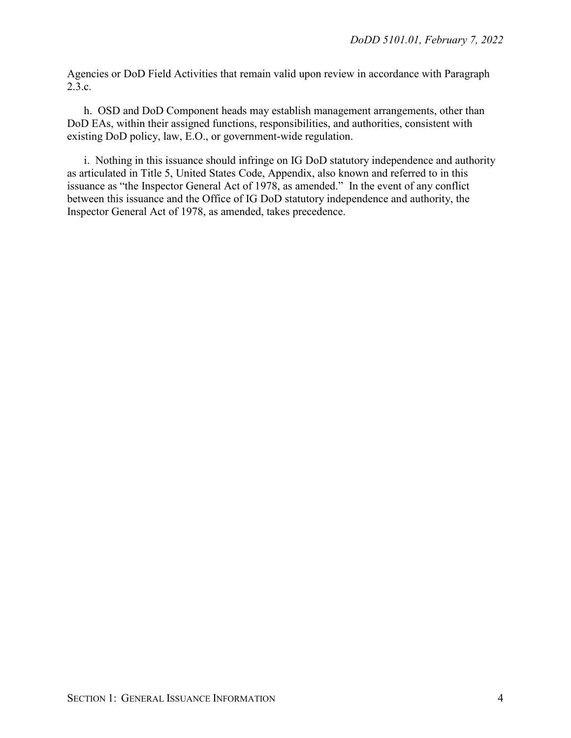Agencies or DoD Field Activities that remain valid upon review in accordance with Paragraph 2.3.c.

h. OSD and DoD Component heads may establish management arrangements, other than DoD EAs, within their assigned functions, responsibilities, and authorities, consistent with existing DoD policy, law, E.O., or government-wide regulation.

i. Nothing in this issuance should infringe on IG DoD statutory independence and authority as articulated in Title 5, United States Code, Appendix, also known and referred to in this issuance as "the Inspector General Act of 1978, as amended." In the event of any conflict between this issuance and the Office of IG DoD statutory independence and authority, the Inspector General Act of 1978, as amended, takes precedence.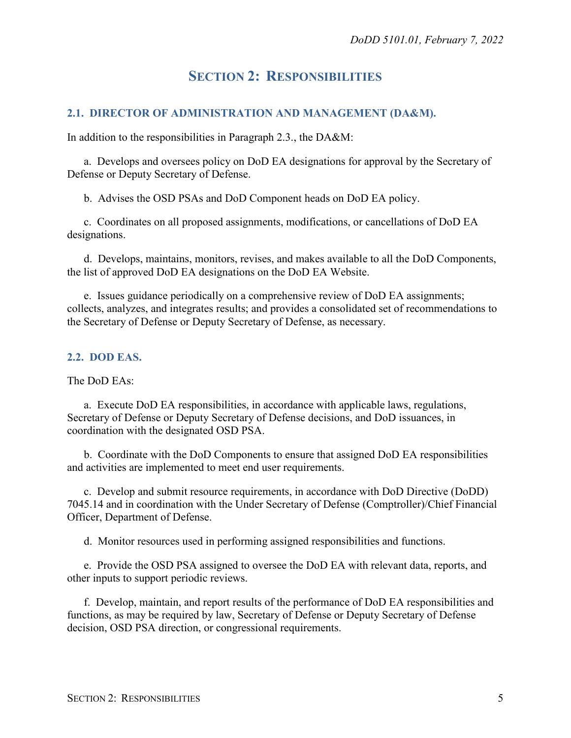## **SECTION 2: RESPONSIBILITIES**

#### <span id="page-4-1"></span><span id="page-4-0"></span>**2.1. DIRECTOR OF ADMINISTRATION AND MANAGEMENT (DA&M).**

In addition to the responsibilities in Paragraph 2.3., the DA&M:

a. Develops and oversees policy on DoD EA designations for approval by the Secretary of Defense or Deputy Secretary of Defense.

b. Advises the OSD PSAs and DoD Component heads on DoD EA policy.

c. Coordinates on all proposed assignments, modifications, or cancellations of DoD EA designations.

d. Develops, maintains, monitors, revises, and makes available to all the DoD Components, the list of approved DoD EA designations on the DoD EA Website.

e. Issues guidance periodically on a comprehensive review of DoD EA assignments; collects, analyzes, and integrates results; and provides a consolidated set of recommendations to the Secretary of Defense or Deputy Secretary of Defense, as necessary.

#### <span id="page-4-2"></span>**2.2. DOD EAS.**

#### The DoD EAs:

a. Execute DoD EA responsibilities, in accordance with applicable laws, regulations, Secretary of Defense or Deputy Secretary of Defense decisions, and DoD issuances, in coordination with the designated OSD PSA.

b. Coordinate with the DoD Components to ensure that assigned DoD EA responsibilities and activities are implemented to meet end user requirements.

c. Develop and submit resource requirements, in accordance with DoD Directive (DoDD) 7045.14 and in coordination with the Under Secretary of Defense (Comptroller)/Chief Financial Officer, Department of Defense.

d. Monitor resources used in performing assigned responsibilities and functions.

e. Provide the OSD PSA assigned to oversee the DoD EA with relevant data, reports, and other inputs to support periodic reviews.

f. Develop, maintain, and report results of the performance of DoD EA responsibilities and functions, as may be required by law, Secretary of Defense or Deputy Secretary of Defense decision, OSD PSA direction, or congressional requirements.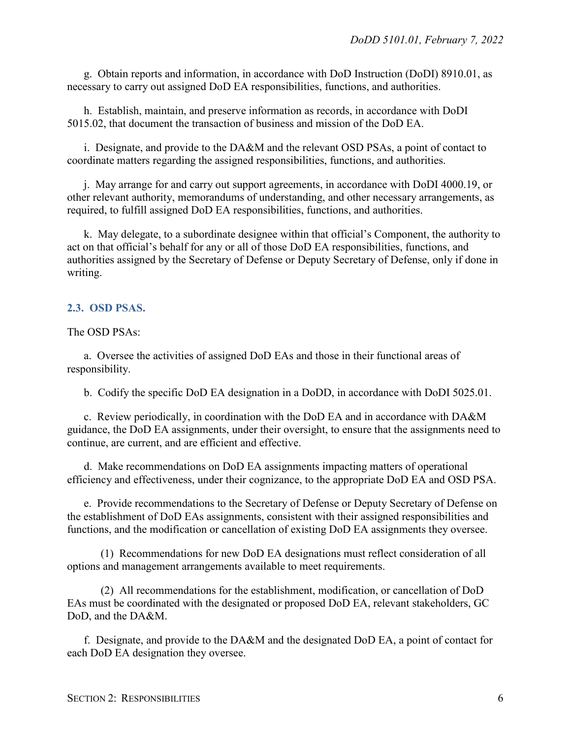g. Obtain reports and information, in accordance with DoD Instruction (DoDI) 8910.01, as necessary to carry out assigned DoD EA responsibilities, functions, and authorities.

h. Establish, maintain, and preserve information as records, in accordance with DoDI 5015.02, that document the transaction of business and mission of the DoD EA.

i. Designate, and provide to the DA&M and the relevant OSD PSAs, a point of contact to coordinate matters regarding the assigned responsibilities, functions, and authorities.

j. May arrange for and carry out support agreements, in accordance with DoDI 4000.19, or other relevant authority, memorandums of understanding, and other necessary arrangements, as required, to fulfill assigned DoD EA responsibilities, functions, and authorities.

k. May delegate, to a subordinate designee within that official's Component, the authority to act on that official's behalf for any or all of those DoD EA responsibilities, functions, and authorities assigned by the Secretary of Defense or Deputy Secretary of Defense, only if done in writing.

#### <span id="page-5-0"></span>**2.3. OSD PSAS.**

The OSD PSAs:

a. Oversee the activities of assigned DoD EAs and those in their functional areas of responsibility.

b. Codify the specific DoD EA designation in a DoDD, in accordance with DoDI 5025.01.

c. Review periodically, in coordination with the DoD EA and in accordance with DA&M guidance, the DoD EA assignments, under their oversight, to ensure that the assignments need to continue, are current, and are efficient and effective.

d. Make recommendations on DoD EA assignments impacting matters of operational efficiency and effectiveness, under their cognizance, to the appropriate DoD EA and OSD PSA.

e. Provide recommendations to the Secretary of Defense or Deputy Secretary of Defense on the establishment of DoD EAs assignments, consistent with their assigned responsibilities and functions, and the modification or cancellation of existing DoD EA assignments they oversee.

(1) Recommendations for new DoD EA designations must reflect consideration of all options and management arrangements available to meet requirements.

(2) All recommendations for the establishment, modification, or cancellation of DoD EAs must be coordinated with the designated or proposed DoD EA, relevant stakeholders, GC DoD, and the DA&M.

f. Designate, and provide to the DA&M and the designated DoD EA, a point of contact for each DoD EA designation they oversee.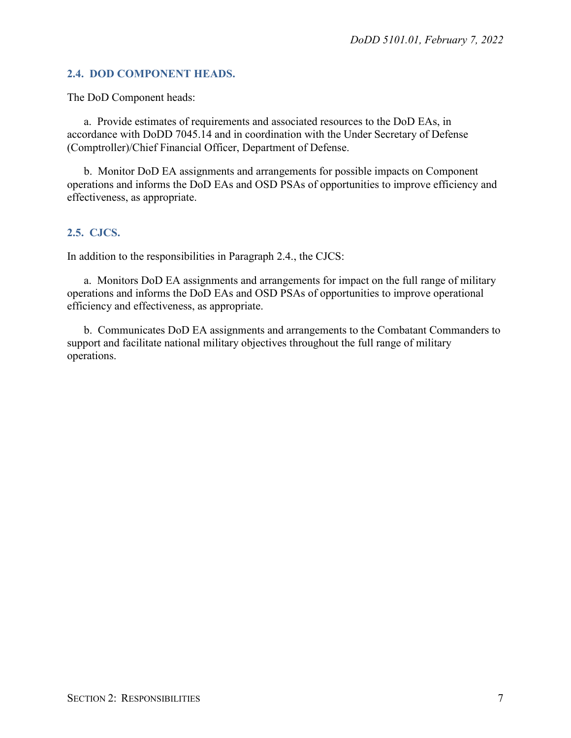#### <span id="page-6-0"></span>**2.4. DOD COMPONENT HEADS.**

The DoD Component heads:

a. Provide estimates of requirements and associated resources to the DoD EAs, in accordance with DoDD 7045.14 and in coordination with the Under Secretary of Defense (Comptroller)/Chief Financial Officer, Department of Defense.

b. Monitor DoD EA assignments and arrangements for possible impacts on Component operations and informs the DoD EAs and OSD PSAs of opportunities to improve efficiency and effectiveness, as appropriate.

#### <span id="page-6-1"></span>**2.5. CJCS.**

In addition to the responsibilities in Paragraph 2.4., the CJCS:

a. Monitors DoD EA assignments and arrangements for impact on the full range of military operations and informs the DoD EAs and OSD PSAs of opportunities to improve operational efficiency and effectiveness, as appropriate.

b. Communicates DoD EA assignments and arrangements to the Combatant Commanders to support and facilitate national military objectives throughout the full range of military operations.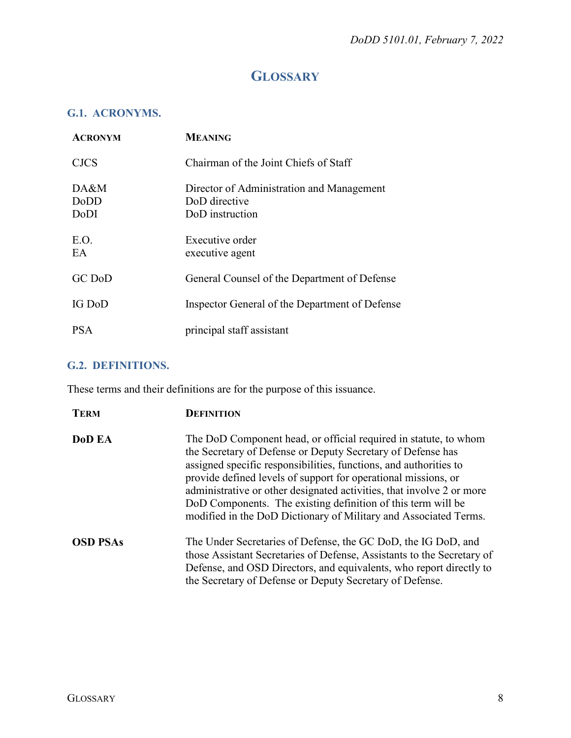## **GLOSSARY**

### <span id="page-7-1"></span><span id="page-7-0"></span>**G.1. ACRONYMS.**

| <b>ACRONYM</b>       | <b>MEANING</b>                                                                |
|----------------------|-------------------------------------------------------------------------------|
| <b>CJCS</b>          | Chairman of the Joint Chiefs of Staff                                         |
| DA&M<br>DoDD<br>DoDI | Director of Administration and Management<br>DoD directive<br>DoD instruction |
| E.O.<br>EA           | Executive order<br>executive agent                                            |
| GC DoD               | General Counsel of the Department of Defense                                  |
| IG DoD               | Inspector General of the Department of Defense                                |
| <b>PSA</b>           | principal staff assistant                                                     |

### <span id="page-7-2"></span>**G.2. DEFINITIONS.**

These terms and their definitions are for the purpose of this issuance.

| <b>TERM</b>     | <b>DEFINITION</b>                                                                                                                                                                                                                                                                                                                                                                                                                                                                   |
|-----------------|-------------------------------------------------------------------------------------------------------------------------------------------------------------------------------------------------------------------------------------------------------------------------------------------------------------------------------------------------------------------------------------------------------------------------------------------------------------------------------------|
| DoD EA          | The DoD Component head, or official required in statute, to whom<br>the Secretary of Defense or Deputy Secretary of Defense has<br>assigned specific responsibilities, functions, and authorities to<br>provide defined levels of support for operational missions, or<br>administrative or other designated activities, that involve 2 or more<br>DoD Components. The existing definition of this term will be<br>modified in the DoD Dictionary of Military and Associated Terms. |
| <b>OSD PSAs</b> | The Under Secretaries of Defense, the GC DoD, the IG DoD, and<br>those Assistant Secretaries of Defense, Assistants to the Secretary of<br>Defense, and OSD Directors, and equivalents, who report directly to<br>the Secretary of Defense or Deputy Secretary of Defense.                                                                                                                                                                                                          |